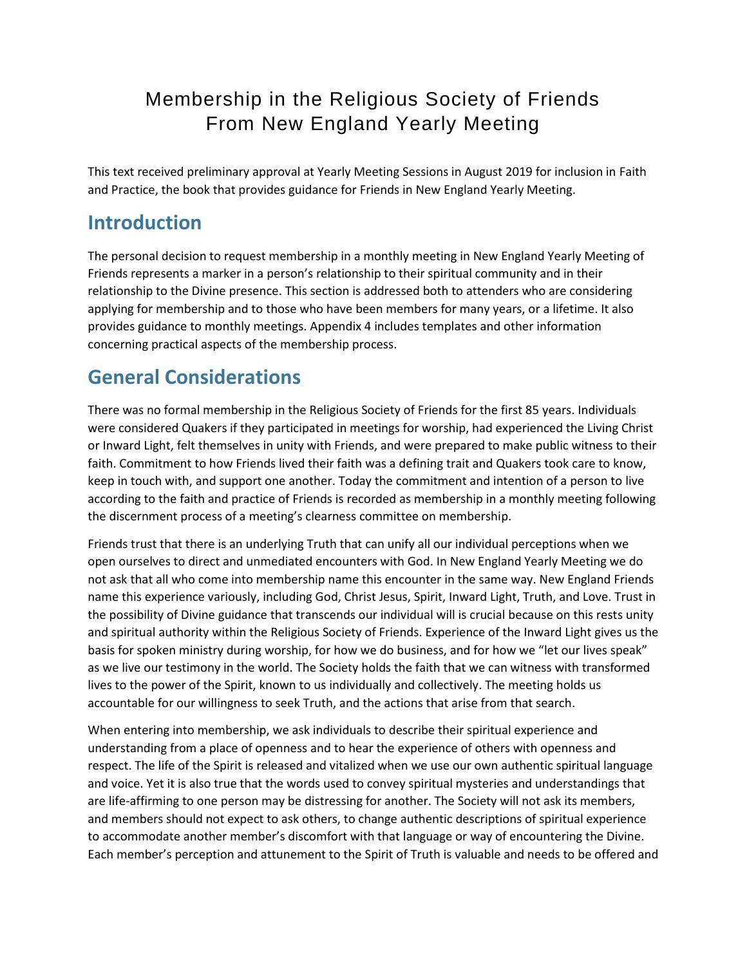# Membership in the Religious Society of Friends From New England Yearly Meeting

This text received preliminary approval at Yearly Meeting Sessions in August 2019 for inclusion in Faith and Practice, the book that provides guidance for Friends in New England Yearly Meeting.

### **Introduction**

The personal decision to request membership in a monthly meeting in New England Yearly Meeting of Friends represents a marker in a person's relationship to their spiritual community and in their relationship to the Divine presence. This section is addressed both to attenders who are considering applying for membership and to those who have been members for many years, or a lifetime. It also provides guidance to monthly meetings. Appendix 4 includes templates and other information concerning practical aspects of the membership process.

## **General Considerations**

There was no formal membership in the Religious Society of Friends for the first 85 years. Individuals were considered Quakers if they participated in meetings for worship, had experienced the Living Christ or Inward Light, felt themselves in unity with Friends, and were prepared to make public witness to their faith. Commitment to how Friends lived their faith was a defining trait and Quakers took care to know, keep in touch with, and support one another. Today the commitment and intention of a person to live according to the faith and practice of Friends is recorded as membership in a monthly meeting following the discernment process of a meeting's clearness committee on membership.

Friends trust that there is an underlying Truth that can unify all our individual perceptions when we open ourselves to direct and unmediated encounters with God. In New England Yearly Meeting we do not ask that all who come into membership name this encounter in the same way. New England Friends name this experience variously, including God, Christ Jesus, Spirit, Inward Light, Truth, and Love. Trust in the possibility of Divine guidance that transcends our individual will is crucial because on this rests unity and spiritual authority within the Religious Society of Friends. Experience of the Inward Light gives us the basis for spoken ministry during worship, for how we do business, and for how we "let our lives speak" as we live our testimony in the world. The Society holds the faith that we can witness with transformed lives to the power of the Spirit, known to us individually and collectively. The meeting holds us accountable for our willingness to seek Truth, and the actions that arise from that search.

When entering into membership, we ask individuals to describe their spiritual experience and understanding from a place of openness and to hear the experience of others with openness and respect. The life of the Spirit is released and vitalized when we use our own authentic spiritual language and voice. Yet it is also true that the words used to convey spiritual mysteries and understandings that are life-affirming to one person may be distressing for another. The Society will not ask its members, and members should not expect to ask others, to change authentic descriptions of spiritual experience to accommodate another member's discomfort with that language or way of encountering the Divine. Each member's perception and attunement to the Spirit of Truth is valuable and needs to be offered and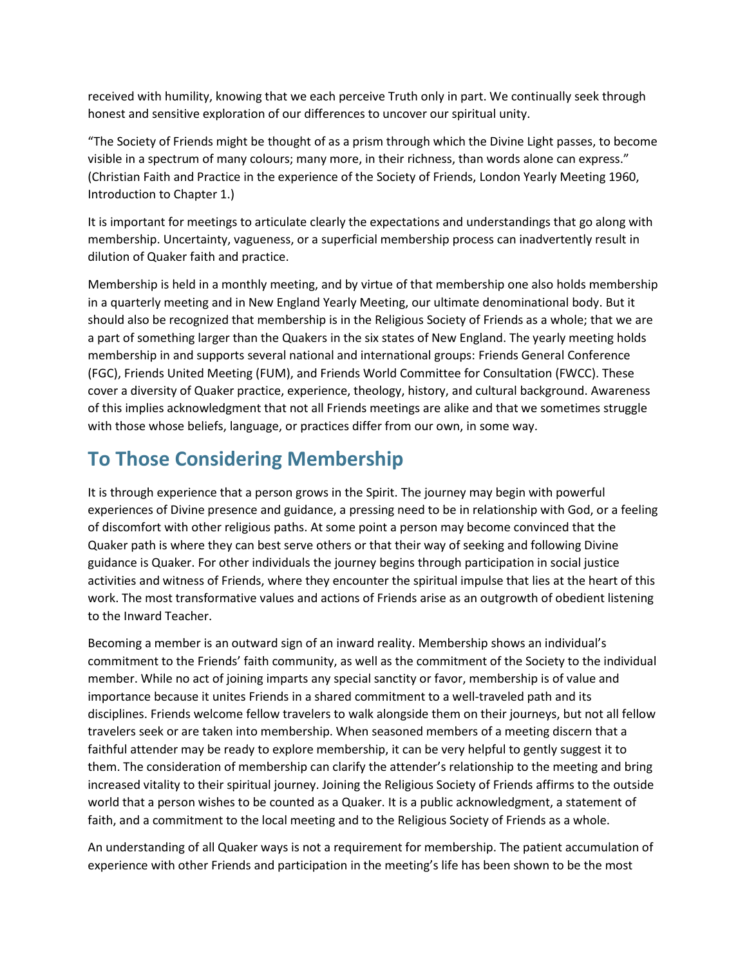received with humility, knowing that we each perceive Truth only in part. We continually seek through honest and sensitive exploration of our differences to uncover our spiritual unity.

"The Society of Friends might be thought of as a prism through which the Divine Light passes, to become visible in a spectrum of many colours; many more, in their richness, than words alone can express." (Christian Faith and Practice in the experience of the Society of Friends, London Yearly Meeting 1960, Introduction to Chapter 1.)

It is important for meetings to articulate clearly the expectations and understandings that go along with membership. Uncertainty, vagueness, or a superficial membership process can inadvertently result in dilution of Quaker faith and practice.

Membership is held in a monthly meeting, and by virtue of that membership one also holds membership in a quarterly meeting and in New England Yearly Meeting, our ultimate denominational body. But it should also be recognized that membership is in the Religious Society of Friends as a whole; that we are a part of something larger than the Quakers in the six states of New England. The yearly meeting holds membership in and supports several national and international groups: Friends General Conference (FGC), Friends United Meeting (FUM), and Friends World Committee for Consultation (FWCC). These cover a diversity of Quaker practice, experience, theology, history, and cultural background. Awareness of this implies acknowledgment that not all Friends meetings are alike and that we sometimes struggle with those whose beliefs, language, or practices differ from our own, in some way.

## **To Those Considering Membership**

It is through experience that a person grows in the Spirit. The journey may begin with powerful experiences of Divine presence and guidance, a pressing need to be in relationship with God, or a feeling of discomfort with other religious paths. At some point a person may become convinced that the Quaker path is where they can best serve others or that their way of seeking and following Divine guidance is Quaker. For other individuals the journey begins through participation in social justice activities and witness of Friends, where they encounter the spiritual impulse that lies at the heart of this work. The most transformative values and actions of Friends arise as an outgrowth of obedient listening to the Inward Teacher.

Becoming a member is an outward sign of an inward reality. Membership shows an individual's commitment to the Friends' faith community, as well as the commitment of the Society to the individual member. While no act of joining imparts any special sanctity or favor, membership is of value and importance because it unites Friends in a shared commitment to a well-traveled path and its disciplines. Friends welcome fellow travelers to walk alongside them on their journeys, but not all fellow travelers seek or are taken into membership. When seasoned members of a meeting discern that a faithful attender may be ready to explore membership, it can be very helpful to gently suggest it to them. The consideration of membership can clarify the attender's relationship to the meeting and bring increased vitality to their spiritual journey. Joining the Religious Society of Friends affirms to the outside world that a person wishes to be counted as a Quaker. It is a public acknowledgment, a statement of faith, and a commitment to the local meeting and to the Religious Society of Friends as a whole.

An understanding of all Quaker ways is not a requirement for membership. The patient accumulation of experience with other Friends and participation in the meeting's life has been shown to be the most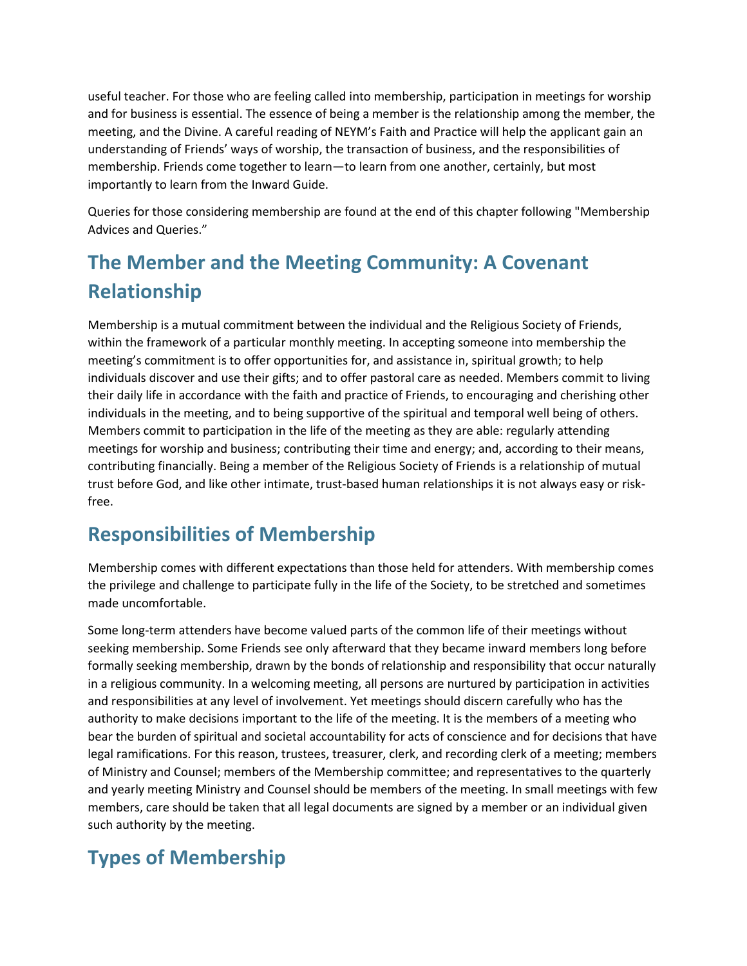useful teacher. For those who are feeling called into membership, participation in meetings for worship and for business is essential. The essence of being a member is the relationship among the member, the meeting, and the Divine. A careful reading of NEYM's Faith and Practice will help the applicant gain an understanding of Friends' ways of worship, the transaction of business, and the responsibilities of membership. Friends come together to learn—to learn from one another, certainly, but most importantly to learn from the Inward Guide.

Queries for those considering membership are found at the end of this chapter following "Membership Advices and Queries."

# **The Member and the Meeting Community: A Covenant Relationship**

Membership is a mutual commitment between the individual and the Religious Society of Friends, within the framework of a particular monthly meeting. In accepting someone into membership the meeting's commitment is to offer opportunities for, and assistance in, spiritual growth; to help individuals discover and use their gifts; and to offer pastoral care as needed. Members commit to living their daily life in accordance with the faith and practice of Friends, to encouraging and cherishing other individuals in the meeting, and to being supportive of the spiritual and temporal well being of others. Members commit to participation in the life of the meeting as they are able: regularly attending meetings for worship and business; contributing their time and energy; and, according to their means, contributing financially. Being a member of the Religious Society of Friends is a relationship of mutual trust before God, and like other intimate, trust-based human relationships it is not always easy or riskfree.

# **Responsibilities of Membership**

Membership comes with different expectations than those held for attenders. With membership comes the privilege and challenge to participate fully in the life of the Society, to be stretched and sometimes made uncomfortable.

Some long-term attenders have become valued parts of the common life of their meetings without seeking membership. Some Friends see only afterward that they became inward members long before formally seeking membership, drawn by the bonds of relationship and responsibility that occur naturally in a religious community. In a welcoming meeting, all persons are nurtured by participation in activities and responsibilities at any level of involvement. Yet meetings should discern carefully who has the authority to make decisions important to the life of the meeting. It is the members of a meeting who bear the burden of spiritual and societal accountability for acts of conscience and for decisions that have legal ramifications. For this reason, trustees, treasurer, clerk, and recording clerk of a meeting; members of Ministry and Counsel; members of the Membership committee; and representatives to the quarterly and yearly meeting Ministry and Counsel should be members of the meeting. In small meetings with few members, care should be taken that all legal documents are signed by a member or an individual given such authority by the meeting.

# **Types of Membership**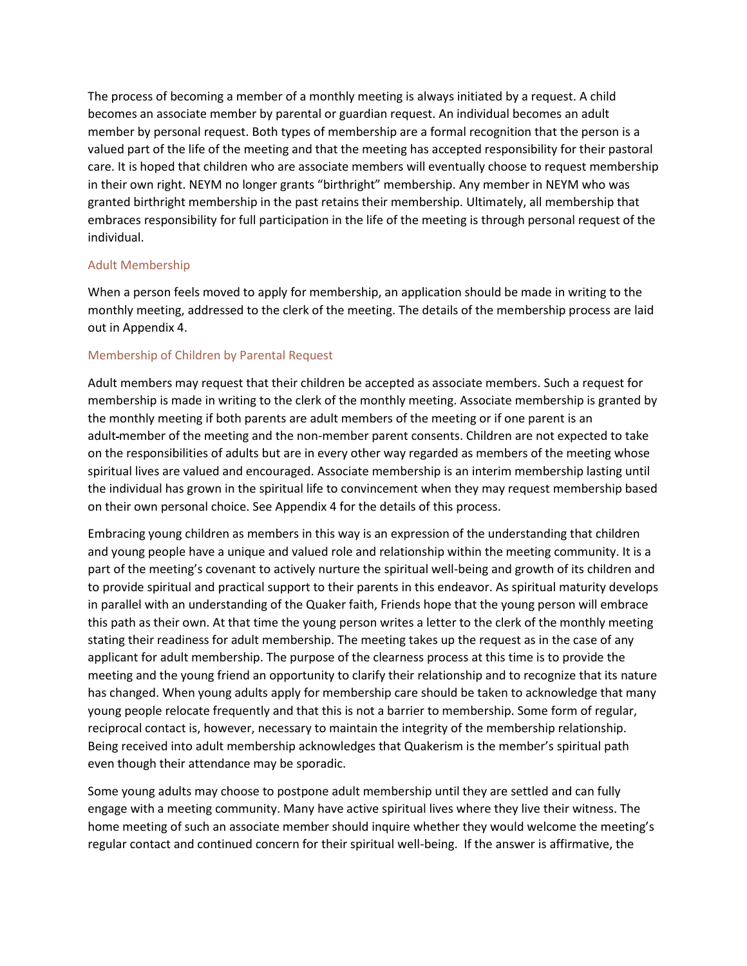The process of becoming a member of a monthly meeting is always initiated by a request. A child becomes an associate member by parental or guardian request. An individual becomes an adult member by personal request. Both types of membership are a formal recognition that the person is a valued part of the life of the meeting and that the meeting has accepted responsibility for their pastoral care. It is hoped that children who are associate members will eventually choose to request membership in their own right. NEYM no longer grants "birthright" membership. Any member in NEYM who was granted birthright membership in the past retains their membership. Ultimately, all membership that embraces responsibility for full participation in the life of the meeting is through personal request of the individual.

#### Adult Membership

When a person feels moved to apply for membership, an application should be made in writing to the monthly meeting, addressed to the clerk of the meeting. The details of the membership process are laid out in Appendix 4.

### Membership of Children by Parental Request

Adult members may request that their children be accepted as associate members. Such a request for membership is made in writing to the clerk of the monthly meeting. Associate membership is granted by the monthly meeting if both parents are adult members of the meeting or if one parent is an adult-member of the meeting and the non-member parent consents. Children are not expected to take on the responsibilities of adults but are in every other way regarded as members of the meeting whose spiritual lives are valued and encouraged. Associate membership is an interim membership lasting until the individual has grown in the spiritual life to convincement when they may request membership based on their own personal choice. See Appendix 4 for the details of this process.

Embracing young children as members in this way is an expression of the understanding that children and young people have a unique and valued role and relationship within the meeting community. It is a part of the meeting's covenant to actively nurture the spiritual well-being and growth of its children and to provide spiritual and practical support to their parents in this endeavor. As spiritual maturity develops in parallel with an understanding of the Quaker faith, Friends hope that the young person will embrace this path as their own. At that time the young person writes a letter to the clerk of the monthly meeting stating their readiness for adult membership. The meeting takes up the request as in the case of any applicant for adult membership. The purpose of the clearness process at this time is to provide the meeting and the young friend an opportunity to clarify their relationship and to recognize that its nature has changed. When young adults apply for membership care should be taken to acknowledge that many young people relocate frequently and that this is not a barrier to membership. Some form of regular, reciprocal contact is, however, necessary to maintain the integrity of the membership relationship. Being received into adult membership acknowledges that Quakerism is the member's spiritual path even though their attendance may be sporadic.

Some young adults may choose to postpone adult membership until they are settled and can fully engage with a meeting community. Many have active spiritual lives where they live their witness. The home meeting of such an associate member should inquire whether they would welcome the meeting's regular contact and continued concern for their spiritual well-being. If the answer is affirmative, the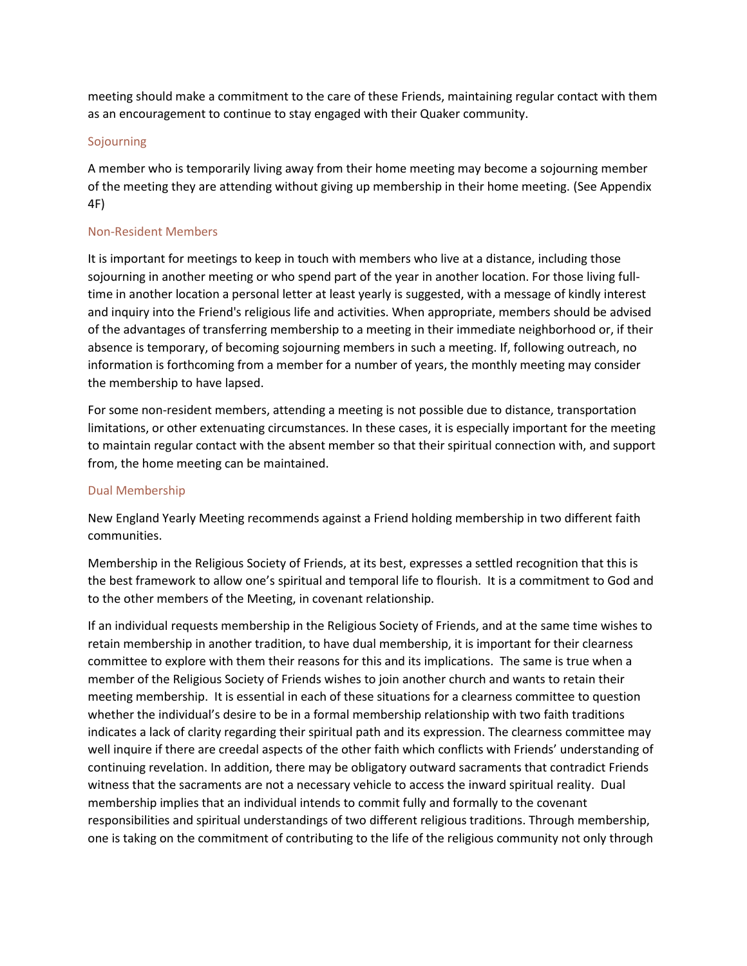meeting should make a commitment to the care of these Friends, maintaining regular contact with them as an encouragement to continue to stay engaged with their Quaker community.

#### Sojourning

A member who is temporarily living away from their home meeting may become a sojourning member of the meeting they are attending without giving up membership in their home meeting. (See Appendix 4F)

### Non-Resident Members

It is important for meetings to keep in touch with members who live at a distance, including those sojourning in another meeting or who spend part of the year in another location. For those living fulltime in another location a personal letter at least yearly is suggested, with a message of kindly interest and inquiry into the Friend's religious life and activities. When appropriate, members should be advised of the advantages of transferring membership to a meeting in their immediate neighborhood or, if their absence is temporary, of becoming sojourning members in such a meeting. If, following outreach, no information is forthcoming from a member for a number of years, the monthly meeting may consider the membership to have lapsed.

For some non-resident members, attending a meeting is not possible due to distance, transportation limitations, or other extenuating circumstances. In these cases, it is especially important for the meeting to maintain regular contact with the absent member so that their spiritual connection with, and support from, the home meeting can be maintained.

#### Dual Membership

New England Yearly Meeting recommends against a Friend holding membership in two different faith communities.

Membership in the Religious Society of Friends, at its best, expresses a settled recognition that this is the best framework to allow one's spiritual and temporal life to flourish. It is a commitment to God and to the other members of the Meeting, in covenant relationship.

If an individual requests membership in the Religious Society of Friends, and at the same time wishes to retain membership in another tradition, to have dual membership, it is important for their clearness committee to explore with them their reasons for this and its implications. The same is true when a member of the Religious Society of Friends wishes to join another church and wants to retain their meeting membership. It is essential in each of these situations for a clearness committee to question whether the individual's desire to be in a formal membership relationship with two faith traditions indicates a lack of clarity regarding their spiritual path and its expression. The clearness committee may well inquire if there are creedal aspects of the other faith which conflicts with Friends' understanding of continuing revelation. In addition, there may be obligatory outward sacraments that contradict Friends witness that the sacraments are not a necessary vehicle to access the inward spiritual reality. Dual membership implies that an individual intends to commit fully and formally to the covenant responsibilities and spiritual understandings of two different religious traditions. Through membership, one is taking on the commitment of contributing to the life of the religious community not only through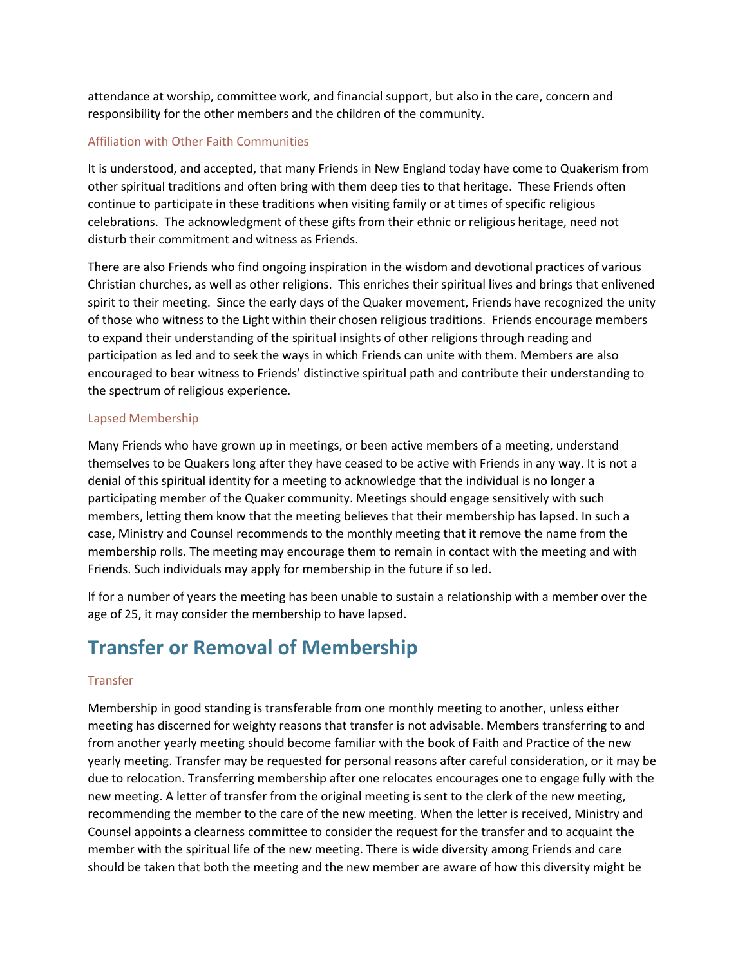attendance at worship, committee work, and financial support, but also in the care, concern and responsibility for the other members and the children of the community.

### Affiliation with Other Faith Communities

It is understood, and accepted, that many Friends in New England today have come to Quakerism from other spiritual traditions and often bring with them deep ties to that heritage. These Friends often continue to participate in these traditions when visiting family or at times of specific religious celebrations. The acknowledgment of these gifts from their ethnic or religious heritage, need not disturb their commitment and witness as Friends.

There are also Friends who find ongoing inspiration in the wisdom and devotional practices of various Christian churches, as well as other religions. This enriches their spiritual lives and brings that enlivened spirit to their meeting. Since the early days of the Quaker movement, Friends have recognized the unity of those who witness to the Light within their chosen religious traditions. Friends encourage members to expand their understanding of the spiritual insights of other religions through reading and participation as led and to seek the ways in which Friends can unite with them. Members are also encouraged to bear witness to Friends' distinctive spiritual path and contribute their understanding to the spectrum of religious experience.

#### Lapsed Membership

Many Friends who have grown up in meetings, or been active members of a meeting, understand themselves to be Quakers long after they have ceased to be active with Friends in any way. It is not a denial of this spiritual identity for a meeting to acknowledge that the individual is no longer a participating member of the Quaker community. Meetings should engage sensitively with such members, letting them know that the meeting believes that their membership has lapsed. In such a case, Ministry and Counsel recommends to the monthly meeting that it remove the name from the membership rolls. The meeting may encourage them to remain in contact with the meeting and with Friends. Such individuals may apply for membership in the future if so led.

If for a number of years the meeting has been unable to sustain a relationship with a member over the age of 25, it may consider the membership to have lapsed.

# **Transfer or Removal of Membership**

#### Transfer

Membership in good standing is transferable from one monthly meeting to another, unless either meeting has discerned for weighty reasons that transfer is not advisable. Members transferring to and from another yearly meeting should become familiar with the book of Faith and Practice of the new yearly meeting. Transfer may be requested for personal reasons after careful consideration, or it may be due to relocation. Transferring membership after one relocates encourages one to engage fully with the new meeting. A letter of transfer from the original meeting is sent to the clerk of the new meeting, recommending the member to the care of the new meeting. When the letter is received, Ministry and Counsel appoints a clearness committee to consider the request for the transfer and to acquaint the member with the spiritual life of the new meeting. There is wide diversity among Friends and care should be taken that both the meeting and the new member are aware of how this diversity might be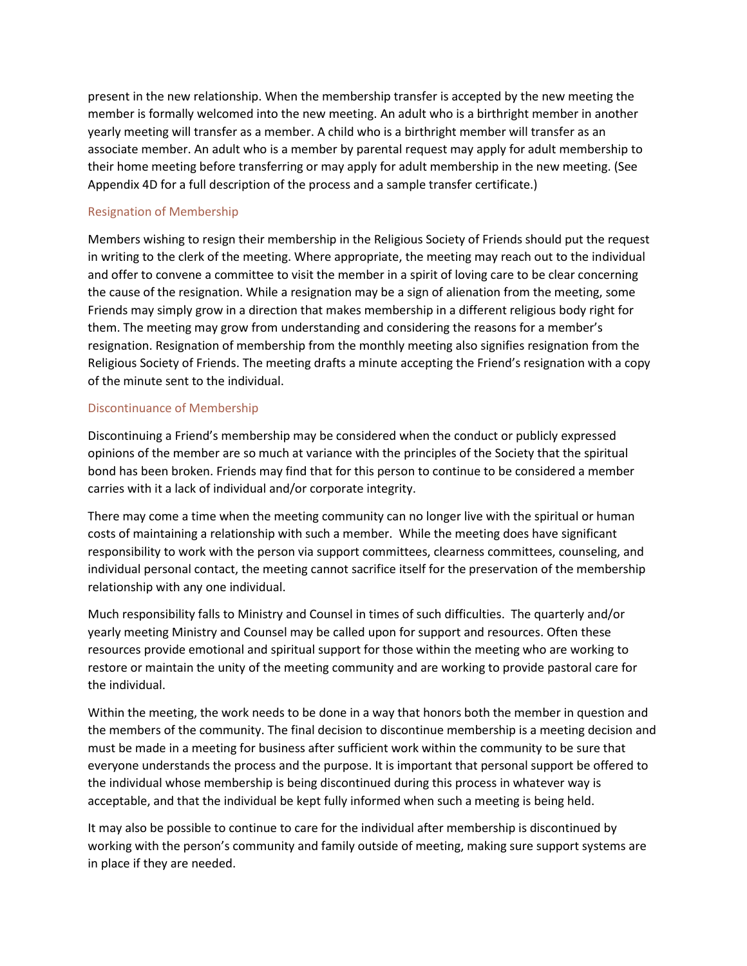present in the new relationship. When the membership transfer is accepted by the new meeting the member is formally welcomed into the new meeting. An adult who is a birthright member in another yearly meeting will transfer as a member. A child who is a birthright member will transfer as an associate member. An adult who is a member by parental request may apply for adult membership to their home meeting before transferring or may apply for adult membership in the new meeting. (See Appendix 4D for a full description of the process and a sample transfer certificate.)

#### Resignation of Membership

Members wishing to resign their membership in the Religious Society of Friends should put the request in writing to the clerk of the meeting. Where appropriate, the meeting may reach out to the individual and offer to convene a committee to visit the member in a spirit of loving care to be clear concerning the cause of the resignation. While a resignation may be a sign of alienation from the meeting, some Friends may simply grow in a direction that makes membership in a different religious body right for them. The meeting may grow from understanding and considering the reasons for a member's resignation. Resignation of membership from the monthly meeting also signifies resignation from the Religious Society of Friends. The meeting drafts a minute accepting the Friend's resignation with a copy of the minute sent to the individual.

#### Discontinuance of Membership

Discontinuing a Friend's membership may be considered when the conduct or publicly expressed opinions of the member are so much at variance with the principles of the Society that the spiritual bond has been broken. Friends may find that for this person to continue to be considered a member carries with it a lack of individual and/or corporate integrity.

There may come a time when the meeting community can no longer live with the spiritual or human costs of maintaining a relationship with such a member. While the meeting does have significant responsibility to work with the person via support committees, clearness committees, counseling, and individual personal contact, the meeting cannot sacrifice itself for the preservation of the membership relationship with any one individual.

Much responsibility falls to Ministry and Counsel in times of such difficulties. The quarterly and/or yearly meeting Ministry and Counsel may be called upon for support and resources. Often these resources provide emotional and spiritual support for those within the meeting who are working to restore or maintain the unity of the meeting community and are working to provide pastoral care for the individual.

Within the meeting, the work needs to be done in a way that honors both the member in question and the members of the community. The final decision to discontinue membership is a meeting decision and must be made in a meeting for business after sufficient work within the community to be sure that everyone understands the process and the purpose. It is important that personal support be offered to the individual whose membership is being discontinued during this process in whatever way is acceptable, and that the individual be kept fully informed when such a meeting is being held.

It may also be possible to continue to care for the individual after membership is discontinued by working with the person's community and family outside of meeting, making sure support systems are in place if they are needed.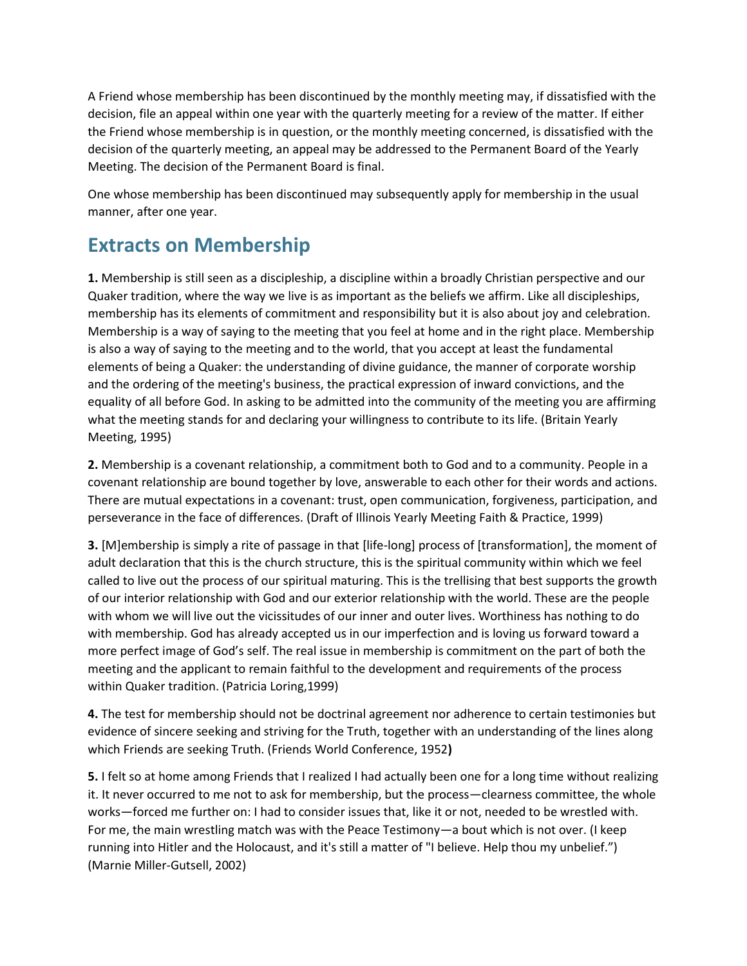A Friend whose membership has been discontinued by the monthly meeting may, if dissatisfied with the decision, file an appeal within one year with the quarterly meeting for a review of the matter. If either the Friend whose membership is in question, or the monthly meeting concerned, is dissatisfied with the decision of the quarterly meeting, an appeal may be addressed to the Permanent Board of the Yearly Meeting. The decision of the Permanent Board is final.

One whose membership has been discontinued may subsequently apply for membership in the usual manner, after one year.

## **Extracts on Membership**

**1.** Membership is still seen as a discipleship, a discipline within a broadly Christian perspective and our Quaker tradition, where the way we live is as important as the beliefs we affirm. Like all discipleships, membership has its elements of commitment and responsibility but it is also about joy and celebration. Membership is a way of saying to the meeting that you feel at home and in the right place. Membership is also a way of saying to the meeting and to the world, that you accept at least the fundamental elements of being a Quaker: the understanding of divine guidance, the manner of corporate worship and the ordering of the meeting's business, the practical expression of inward convictions, and the equality of all before God. In asking to be admitted into the community of the meeting you are affirming what the meeting stands for and declaring your willingness to contribute to its life. (Britain Yearly Meeting, 1995)

**2.** Membership is a covenant relationship, a commitment both to God and to a community. People in a covenant relationship are bound together by love, answerable to each other for their words and actions. There are mutual expectations in a covenant: trust, open communication, forgiveness, participation, and perseverance in the face of differences. (Draft of Illinois Yearly Meeting Faith & Practice, 1999)

**3.** [M]embership is simply a rite of passage in that [life-long] process of [transformation], the moment of adult declaration that this is the church structure, this is the spiritual community within which we feel called to live out the process of our spiritual maturing. This is the trellising that best supports the growth of our interior relationship with God and our exterior relationship with the world. These are the people with whom we will live out the vicissitudes of our inner and outer lives. Worthiness has nothing to do with membership. God has already accepted us in our imperfection and is loving us forward toward a more perfect image of God's self. The real issue in membership is commitment on the part of both the meeting and the applicant to remain faithful to the development and requirements of the process within Quaker tradition. (Patricia Loring,1999)

**4.** The test for membership should not be doctrinal agreement nor adherence to certain testimonies but evidence of sincere seeking and striving for the Truth, together with an understanding of the lines along which Friends are seeking Truth. (Friends World Conference, 1952**)**

**5.** I felt so at home among Friends that I realized I had actually been one for a long time without realizing it. It never occurred to me not to ask for membership, but the process—clearness committee, the whole works—forced me further on: I had to consider issues that, like it or not, needed to be wrestled with. For me, the main wrestling match was with the Peace Testimony—a bout which is not over. (I keep running into Hitler and the Holocaust, and it's still a matter of "I believe. Help thou my unbelief.") (Marnie Miller-Gutsell, 2002)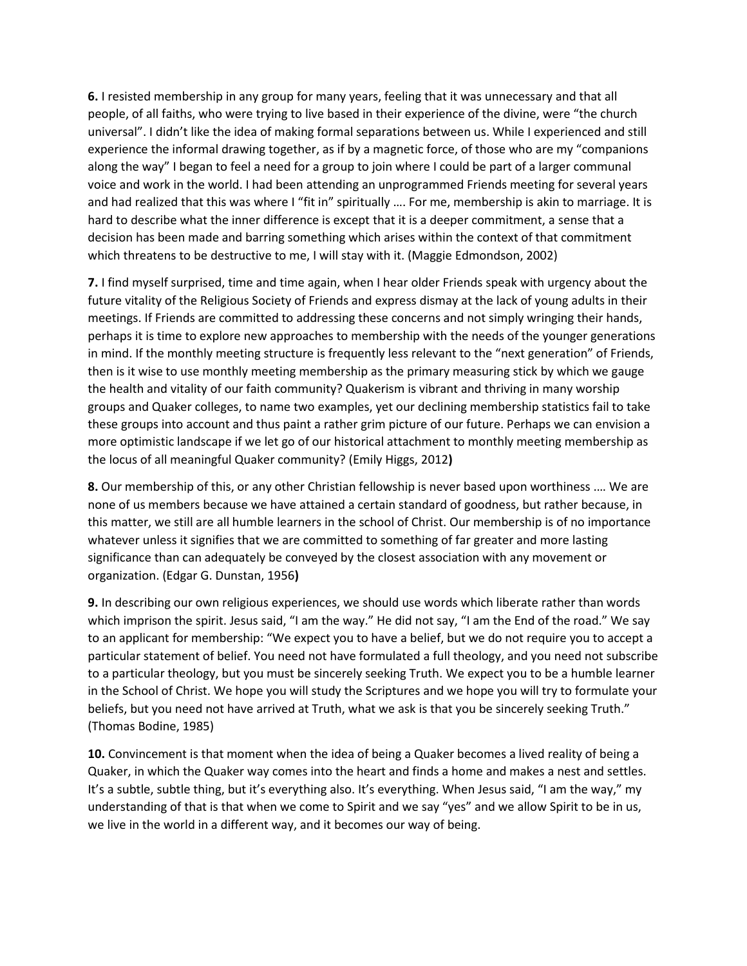**6.** I resisted membership in any group for many years, feeling that it was unnecessary and that all people, of all faiths, who were trying to live based in their experience of the divine, were "the church universal". I didn't like the idea of making formal separations between us. While I experienced and still experience the informal drawing together, as if by a magnetic force, of those who are my "companions along the way" I began to feel a need for a group to join where I could be part of a larger communal voice and work in the world. I had been attending an unprogrammed Friends meeting for several years and had realized that this was where I "fit in" spiritually …. For me, membership is akin to marriage. It is hard to describe what the inner difference is except that it is a deeper commitment, a sense that a decision has been made and barring something which arises within the context of that commitment which threatens to be destructive to me, I will stay with it. (Maggie Edmondson, 2002)

**7.** I find myself surprised, time and time again, when I hear older Friends speak with urgency about the future vitality of the Religious Society of Friends and express dismay at the lack of young adults in their meetings. If Friends are committed to addressing these concerns and not simply wringing their hands, perhaps it is time to explore new approaches to membership with the needs of the younger generations in mind. If the monthly meeting structure is frequently less relevant to the "next generation" of Friends, then is it wise to use monthly meeting membership as the primary measuring stick by which we gauge the health and vitality of our faith community? Quakerism is vibrant and thriving in many worship groups and Quaker colleges, to name two examples, yet our declining membership statistics fail to take these groups into account and thus paint a rather grim picture of our future. Perhaps we can envision a more optimistic landscape if we let go of our historical attachment to monthly meeting membership as the locus of all meaningful Quaker community? (Emily Higgs, 2012**)**

**8.** Our membership of this, or any other Christian fellowship is never based upon worthiness .… We are none of us members because we have attained a certain standard of goodness, but rather because, in this matter, we still are all humble learners in the school of Christ. Our membership is of no importance whatever unless it signifies that we are committed to something of far greater and more lasting significance than can adequately be conveyed by the closest association with any movement or organization. (Edgar G. Dunstan, 1956**)**

**9.** In describing our own religious experiences, we should use words which liberate rather than words which imprison the spirit. Jesus said, "I am the way." He did not say, "I am the End of the road." We say to an applicant for membership: "We expect you to have a belief, but we do not require you to accept a particular statement of belief. You need not have formulated a full theology, and you need not subscribe to a particular theology, but you must be sincerely seeking Truth. We expect you to be a humble learner in the School of Christ. We hope you will study the Scriptures and we hope you will try to formulate your beliefs, but you need not have arrived at Truth, what we ask is that you be sincerely seeking Truth." (Thomas Bodine, 1985)

**10.** Convincement is that moment when the idea of being a Quaker becomes a lived reality of being a Quaker, in which the Quaker way comes into the heart and finds a home and makes a nest and settles. It's a subtle, subtle thing, but it's everything also. It's everything. When Jesus said, "I am the way," my understanding of that is that when we come to Spirit and we say "yes" and we allow Spirit to be in us, we live in the world in a different way, and it becomes our way of being.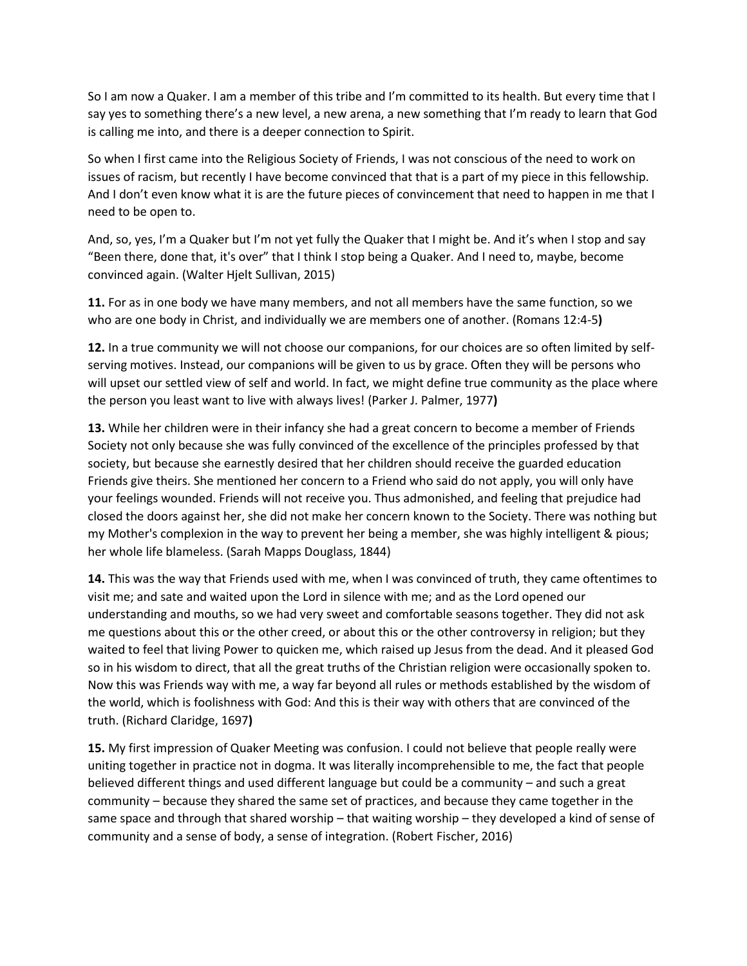So I am now a Quaker. I am a member of this tribe and I'm committed to its health. But every time that I say yes to something there's a new level, a new arena, a new something that I'm ready to learn that God is calling me into, and there is a deeper connection to Spirit.

So when I first came into the Religious Society of Friends, I was not conscious of the need to work on issues of racism, but recently I have become convinced that that is a part of my piece in this fellowship. And I don't even know what it is are the future pieces of convincement that need to happen in me that I need to be open to.

And, so, yes, I'm a Quaker but I'm not yet fully the Quaker that I might be. And it's when I stop and say "Been there, done that, it's over" that I think I stop being a Quaker. And I need to, maybe, become convinced again. (Walter Hjelt Sullivan, 2015)

**11.** For as in one body we have many members, and not all members have the same function, so we who are one body in Christ, and individually we are members one of another. (Romans 12:4-5**)**

**12.** In a true community we will not choose our companions, for our choices are so often limited by selfserving motives. Instead, our companions will be given to us by grace. Often they will be persons who will upset our settled view of self and world. In fact, we might define true community as the place where the person you least want to live with always lives! (Parker J. Palmer, 1977**)**

**13.** While her children were in their infancy she had a great concern to become a member of Friends Society not only because she was fully convinced of the excellence of the principles professed by that society, but because she earnestly desired that her children should receive the guarded education Friends give theirs. She mentioned her concern to a Friend who said do not apply, you will only have your feelings wounded. Friends will not receive you. Thus admonished, and feeling that prejudice had closed the doors against her, she did not make her concern known to the Society. There was nothing but my Mother's complexion in the way to prevent her being a member, she was highly intelligent & pious; her whole life blameless. (Sarah Mapps Douglass, 1844)

**14.** This was the way that Friends used with me, when I was convinced of truth, they came oftentimes to visit me; and sate and waited upon the Lord in silence with me; and as the Lord opened our understanding and mouths, so we had very sweet and comfortable seasons together. They did not ask me questions about this or the other creed, or about this or the other controversy in religion; but they waited to feel that living Power to quicken me, which raised up Jesus from the dead. And it pleased God so in his wisdom to direct, that all the great truths of the Christian religion were occasionally spoken to. Now this was Friends way with me, a way far beyond all rules or methods established by the wisdom of the world, which is foolishness with God: And this is their way with others that are convinced of the truth. (Richard Claridge, 1697**)**

**15.** My first impression of Quaker Meeting was confusion. I could not believe that people really were uniting together in practice not in dogma. It was literally incomprehensible to me, the fact that people believed different things and used different language but could be a community – and such a great community – because they shared the same set of practices, and because they came together in the same space and through that shared worship – that waiting worship – they developed a kind of sense of community and a sense of body, a sense of integration. (Robert Fischer, 2016)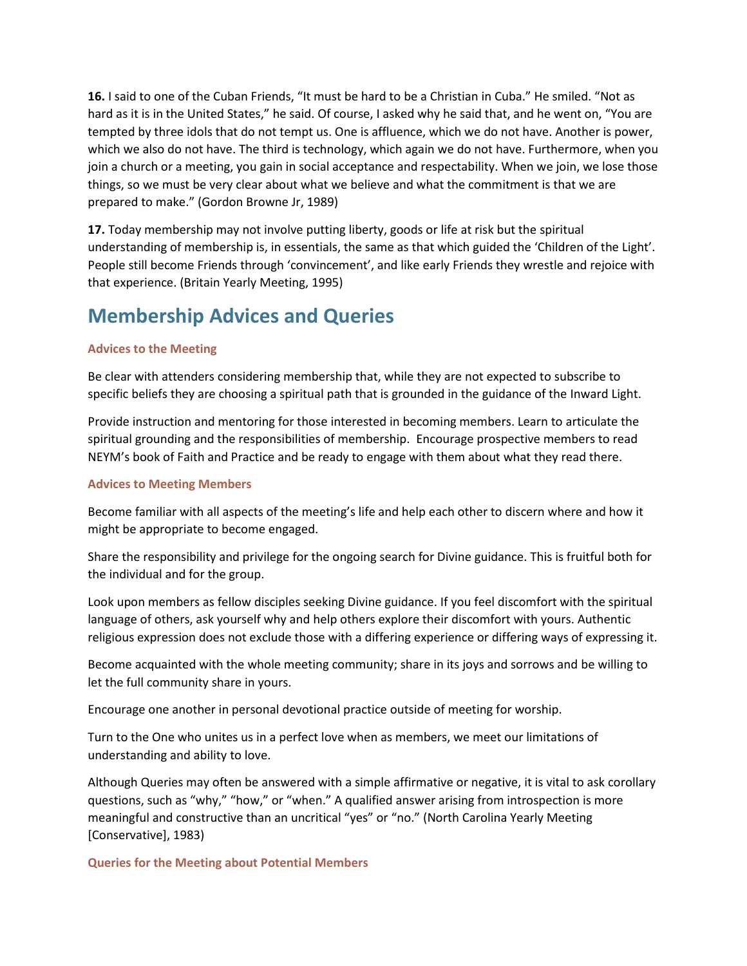**16.** I said to one of the Cuban Friends, "It must be hard to be a Christian in Cuba." He smiled. "Not as hard as it is in the United States," he said. Of course, I asked why he said that, and he went on, "You are tempted by three idols that do not tempt us. One is affluence, which we do not have. Another is power, which we also do not have. The third is technology, which again we do not have. Furthermore, when you join a church or a meeting, you gain in social acceptance and respectability. When we join, we lose those things, so we must be very clear about what we believe and what the commitment is that we are prepared to make." (Gordon Browne Jr, 1989)

**17.** Today membership may not involve putting liberty, goods or life at risk but the spiritual understanding of membership is, in essentials, the same as that which guided the 'Children of the Light'. People still become Friends through 'convincement', and like early Friends they wrestle and rejoice with that experience. (Britain Yearly Meeting, 1995)

## **Membership Advices and Queries**

### **Advices to the Meeting**

Be clear with attenders considering membership that, while they are not expected to subscribe to specific beliefs they are choosing a spiritual path that is grounded in the guidance of the Inward Light.

Provide instruction and mentoring for those interested in becoming members. Learn to articulate the spiritual grounding and the responsibilities of membership. Encourage prospective members to read NEYM's book of Faith and Practice and be ready to engage with them about what they read there.

#### **Advices to Meeting Members**

Become familiar with all aspects of the meeting's life and help each other to discern where and how it might be appropriate to become engaged.

Share the responsibility and privilege for the ongoing search for Divine guidance. This is fruitful both for the individual and for the group.

Look upon members as fellow disciples seeking Divine guidance. If you feel discomfort with the spiritual language of others, ask yourself why and help others explore their discomfort with yours. Authentic religious expression does not exclude those with a differing experience or differing ways of expressing it.

Become acquainted with the whole meeting community; share in its joys and sorrows and be willing to let the full community share in yours.

Encourage one another in personal devotional practice outside of meeting for worship.

Turn to the One who unites us in a perfect love when as members, we meet our limitations of understanding and ability to love.

Although Queries may often be answered with a simple affirmative or negative, it is vital to ask corollary questions, such as "why," "how," or "when." A qualified answer arising from introspection is more meaningful and constructive than an uncritical "yes" or "no." (North Carolina Yearly Meeting [Conservative], 1983)

**Queries for the Meeting about Potential Members**